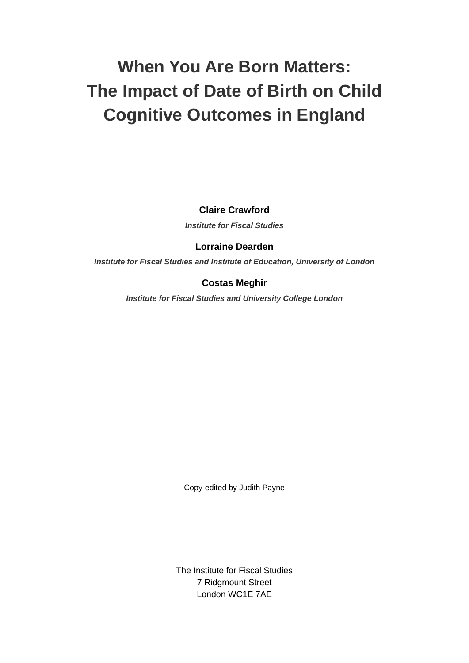# **When You Are Born Matters: The Impact of Date of Birth on Child Cognitive Outcomes in England**

**Claire Crawford** 

*Institute for Fiscal Studies* 

### **Lorraine Dearden**

*Institute for Fiscal Studies and Institute of Education, University of London* 

## **Costas Meghir**

*Institute for Fiscal Studies and University College London* 

Copy-edited by Judith Payne

The Institute for Fiscal Studies 7 Ridgmount Street London WC1E 7AE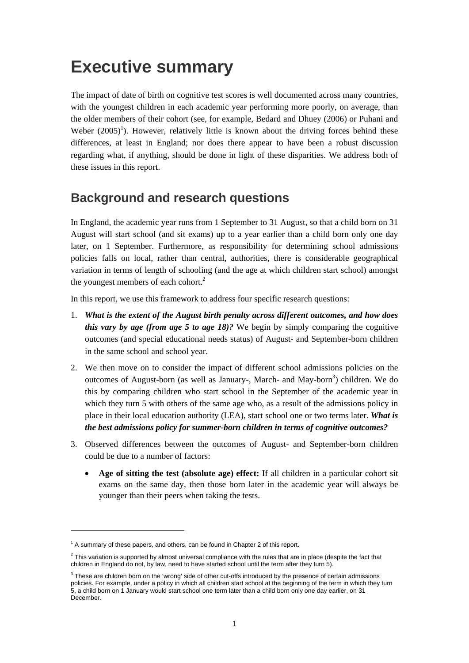# **Executive summary**

The impact of date of birth on cognitive test scores is well documented across many countries, with the youngest children in each academic year performing more poorly, on average, than the older members of their cohort (see, for example, Bedard and Dhuey (2006) or Puhani and Weber  $(2005)^1$ ). However, relatively little is known about the driving forces behind these differences, at least in England; nor does there appear to have been a robust discussion regarding what, if anything, should be done in light of these disparities. We address both of these issues in this report.

## **Background and research questions**

In England, the academic year runs from 1 September to 31 August, so that a child born on 31 August will start school (and sit exams) up to a year earlier than a child born only one day later, on 1 September. Furthermore, as responsibility for determining school admissions policies falls on local, rather than central, authorities, there is considerable geographical variation in terms of length of schooling (and the age at which children start school) amongst the youngest members of each cohort.<sup>2</sup>

In this report, we use this framework to address four specific research questions:

- 1. *What is the extent of the August birth penalty across different outcomes, and how does this vary by age (from age 5 to age 18)?* We begin by simply comparing the cognitive outcomes (and special educational needs status) of August- and September-born children in the same school and school year.
- 2. We then move on to consider the impact of different school admissions policies on the outcomes of August-born (as well as January-, March- and May-born<sup>3</sup>) children. We do this by comparing children who start school in the September of the academic year in which they turn 5 with others of the same age who, as a result of the admissions policy in place in their local education authority (LEA), start school one or two terms later. *What is the best admissions policy for summer-born children in terms of cognitive outcomes?*
- 3. Observed differences between the outcomes of August- and September-born children could be due to a number of factors:
	- **Age of sitting the test (absolute age) effect:** If all children in a particular cohort sit exams on the same day, then those born later in the academic year will always be younger than their peers when taking the tests.

 $1$  A summary of these papers, and others, can be found in Chapter 2 of this report.

 $^2$  This variation is supported by almost universal compliance with the rules that are in place (despite the fact that children in England do not, by law, need to have started school until the term after they turn 5).

 $3$  These are children born on the 'wrong' side of other cut-offs introduced by the presence of certain admissions policies. For example, under a policy in which all children start school at the beginning of the term in which they turn 5, a child born on 1 January would start school one term later than a child born only one day earlier, on 31 December.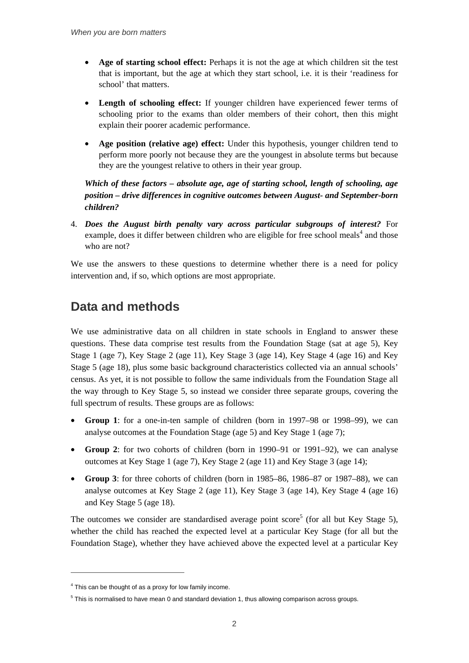- **Age of starting school effect:** Perhaps it is not the age at which children sit the test that is important, but the age at which they start school, i.e. it is their 'readiness for school' that matters.
- **Length of schooling effect:** If younger children have experienced fewer terms of schooling prior to the exams than older members of their cohort, then this might explain their poorer academic performance.
- **Age position (relative age) effect:** Under this hypothesis, younger children tend to perform more poorly not because they are the youngest in absolute terms but because they are the youngest relative to others in their year group.

*Which of these factors – absolute age, age of starting school, length of schooling, age position – drive differences in cognitive outcomes between August- and September-born children?* 

4. *Does the August birth penalty vary across particular subgroups of interest?* For example, does it differ between children who are eligible for free school meals<sup>4</sup> and those who are not?

We use the answers to these questions to determine whether there is a need for policy intervention and, if so, which options are most appropriate.

# **Data and methods**

We use administrative data on all children in state schools in England to answer these questions. These data comprise test results from the Foundation Stage (sat at age 5), Key Stage 1 (age 7), Key Stage 2 (age 11), Key Stage 3 (age 14), Key Stage 4 (age 16) and Key Stage 5 (age 18), plus some basic background characteristics collected via an annual schools' census. As yet, it is not possible to follow the same individuals from the Foundation Stage all the way through to Key Stage 5, so instead we consider three separate groups, covering the full spectrum of results. These groups are as follows:

- **Group 1**: for a one-in-ten sample of children (born in 1997–98 or 1998–99), we can analyse outcomes at the Foundation Stage (age 5) and Key Stage 1 (age 7);
- **Group 2**: for two cohorts of children (born in 1990–91 or 1991–92), we can analyse outcomes at Key Stage 1 (age 7), Key Stage 2 (age 11) and Key Stage 3 (age 14);
- **Group 3**: for three cohorts of children (born in 1985–86, 1986–87 or 1987–88), we can analyse outcomes at Key Stage 2 (age 11), Key Stage 3 (age 14), Key Stage 4 (age 16) and Key Stage 5 (age 18).

The outcomes we consider are standardised average point score<sup>5</sup> (for all but Key Stage 5), whether the child has reached the expected level at a particular Key Stage (for all but the Foundation Stage), whether they have achieved above the expected level at a particular Key

<sup>&</sup>lt;sup>4</sup> This can be thought of as a proxy for low family income.

 $<sup>5</sup>$  This is normalised to have mean 0 and standard deviation 1, thus allowing comparison across groups.</sup>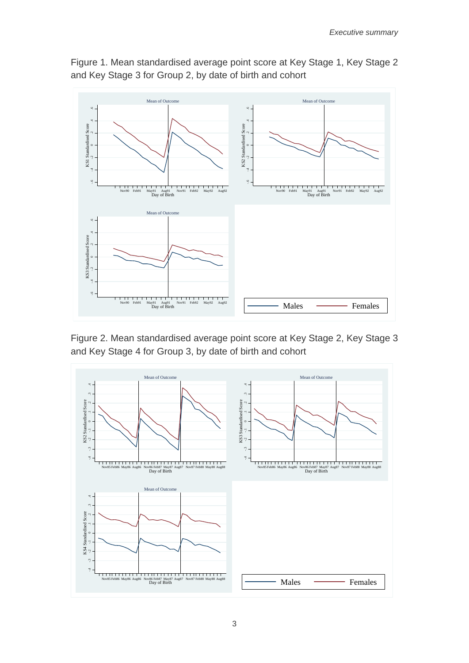

Figure 1. Mean standardised average point score at Key Stage 1, Key Stage 2 and Key Stage 3 for Group 2, by date of birth and cohort

Figure 2. Mean standardised average point score at Key Stage 2, Key Stage 3 and Key Stage 4 for Group 3, by date of birth and cohort

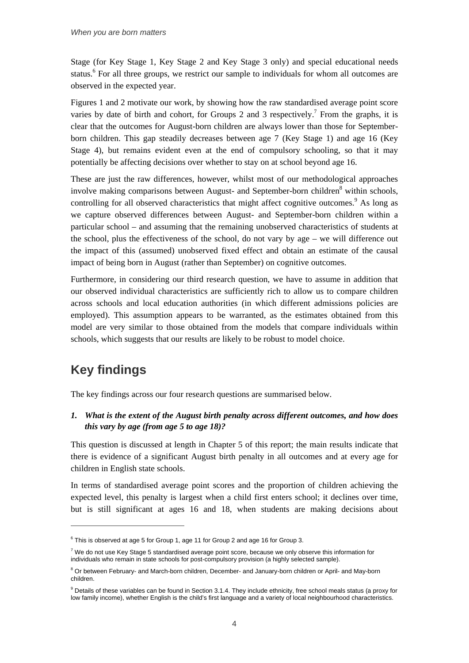Stage (for Key Stage 1, Key Stage 2 and Key Stage 3 only) and special educational needs status.<sup>6</sup> For all three groups, we restrict our sample to individuals for whom all outcomes are observed in the expected year.

Figures 1 and 2 motivate our work, by showing how the raw standardised average point score varies by date of birth and cohort, for Groups 2 and 3 respectively.<sup>7</sup> From the graphs, it is clear that the outcomes for August-born children are always lower than those for Septemberborn children. This gap steadily decreases between age 7 (Key Stage 1) and age 16 (Key Stage 4), but remains evident even at the end of compulsory schooling, so that it may potentially be affecting decisions over whether to stay on at school beyond age 16.

These are just the raw differences, however, whilst most of our methodological approaches involve making comparisons between August- and September-born children<sup>8</sup> within schools, controlling for all observed characteristics that might affect cognitive outcomes.<sup>9</sup> As long as we capture observed differences between August- and September-born children within a particular school – and assuming that the remaining unobserved characteristics of students at the school, plus the effectiveness of the school, do not vary by age – we will difference out the impact of this (assumed) unobserved fixed effect and obtain an estimate of the causal impact of being born in August (rather than September) on cognitive outcomes.

Furthermore, in considering our third research question, we have to assume in addition that our observed individual characteristics are sufficiently rich to allow us to compare children across schools and local education authorities (in which different admissions policies are employed). This assumption appears to be warranted, as the estimates obtained from this model are very similar to those obtained from the models that compare individuals within schools, which suggests that our results are likely to be robust to model choice.

# **Key findings**

 $\overline{a}$ 

The key findings across our four research questions are summarised below.

*1. What is the extent of the August birth penalty across different outcomes, and how does this vary by age (from age 5 to age 18)?* 

This question is discussed at length in Chapter 5 of this report; the main results indicate that there is evidence of a significant August birth penalty in all outcomes and at every age for children in English state schools.

In terms of standardised average point scores and the proportion of children achieving the expected level, this penalty is largest when a child first enters school; it declines over time, but is still significant at ages 16 and 18, when students are making decisions about

 $6$  This is observed at age 5 for Group 1, age 11 for Group 2 and age 16 for Group 3.

 $^7$  We do not use Key Stage 5 standardised average point score, because we only observe this information for individuals who remain in state schools for post-compulsory provision (a highly selected sample).

<sup>&</sup>lt;sup>8</sup> Or between February- and March-born children, December- and January-born children or April- and May-born children.

<sup>&</sup>lt;sup>9</sup> Details of these variables can be found in Section 3.1.4. They include ethnicity, free school meals status (a proxy for low family income), whether English is the child's first language and a variety of local neighbourhood characteristics.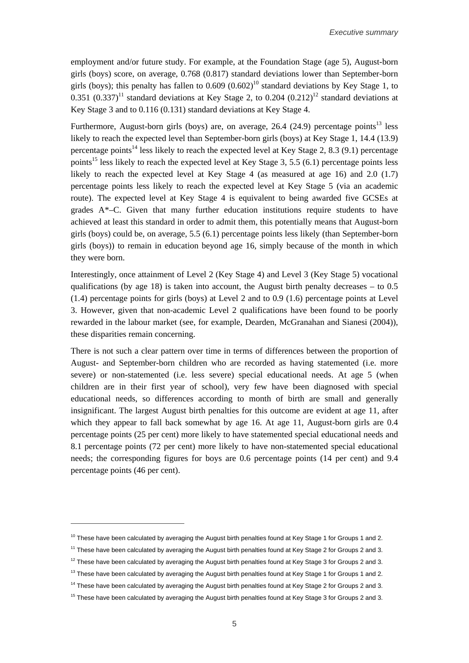employment and/or future study. For example, at the Foundation Stage (age 5), August-born girls (boys) score, on average, 0.768 (0.817) standard deviations lower than September-born girls (boys); this penalty has fallen to  $0.609$   $(0.602)^{10}$  standard deviations by Key Stage 1, to 0.351  $(0.337)^{11}$  standard deviations at Key Stage 2, to 0.204  $(0.212)^{12}$  standard deviations at Key Stage 3 and to 0.116 (0.131) standard deviations at Key Stage 4.

Furthermore, August-born girls (boys) are, on average, 26.4 (24.9) percentage points<sup>13</sup> less likely to reach the expected level than September-born girls (boys) at Key Stage 1, 14.4 (13.9) percentage points<sup>14</sup> less likely to reach the expected level at Key Stage 2, 8.3 (9.1) percentage points<sup>15</sup> less likely to reach the expected level at Key Stage 3, 5.5 (6.1) percentage points less likely to reach the expected level at Key Stage 4 (as measured at age 16) and 2.0 (1.7) percentage points less likely to reach the expected level at Key Stage 5 (via an academic route). The expected level at Key Stage 4 is equivalent to being awarded five GCSEs at grades A\*–C. Given that many further education institutions require students to have achieved at least this standard in order to admit them, this potentially means that August-born girls (boys) could be, on average, 5.5 (6.1) percentage points less likely (than September-born girls (boys)) to remain in education beyond age 16, simply because of the month in which they were born.

Interestingly, once attainment of Level 2 (Key Stage 4) and Level 3 (Key Stage 5) vocational qualifications (by age 18) is taken into account, the August birth penalty decreases  $-$  to 0.5 (1.4) percentage points for girls (boys) at Level 2 and to 0.9 (1.6) percentage points at Level 3. However, given that non-academic Level 2 qualifications have been found to be poorly rewarded in the labour market (see, for example, Dearden, McGranahan and Sianesi (2004)), these disparities remain concerning.

There is not such a clear pattern over time in terms of differences between the proportion of August- and September-born children who are recorded as having statemented (i.e. more severe) or non-statemented (i.e. less severe) special educational needs. At age 5 (when children are in their first year of school), very few have been diagnosed with special educational needs, so differences according to month of birth are small and generally insignificant. The largest August birth penalties for this outcome are evident at age 11, after which they appear to fall back somewhat by age 16. At age 11, August-born girls are 0.4 percentage points (25 per cent) more likely to have statemented special educational needs and 8.1 percentage points (72 per cent) more likely to have non-statemented special educational needs; the corresponding figures for boys are 0.6 percentage points (14 per cent) and 9.4 percentage points (46 per cent).

 $10$  These have been calculated by averaging the August birth penalties found at Key Stage 1 for Groups 1 and 2.

<sup>&</sup>lt;sup>11</sup> These have been calculated by averaging the August birth penalties found at Key Stage 2 for Groups 2 and 3.

 $12$  These have been calculated by averaging the August birth penalties found at Key Stage 3 for Groups 2 and 3.

 $13$  These have been calculated by averaging the August birth penalties found at Key Stage 1 for Groups 1 and 2.

<sup>&</sup>lt;sup>14</sup> These have been calculated by averaging the August birth penalties found at Key Stage 2 for Groups 2 and 3.

<sup>&</sup>lt;sup>15</sup> These have been calculated by averaging the August birth penalties found at Key Stage 3 for Groups 2 and 3.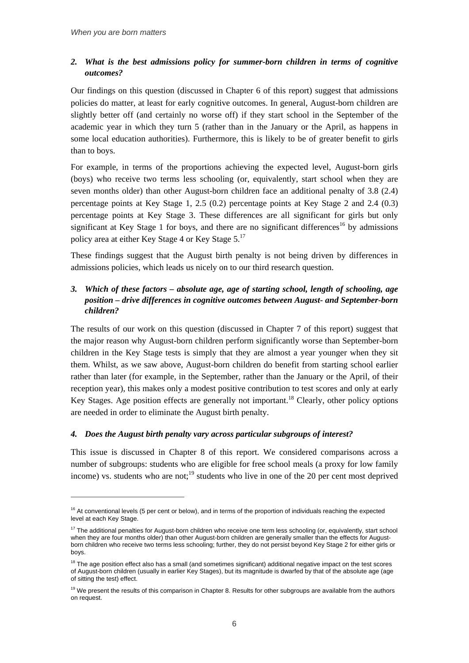$\overline{a}$ 

### *2. What is the best admissions policy for summer-born children in terms of cognitive outcomes?*

Our findings on this question (discussed in Chapter 6 of this report) suggest that admissions policies do matter, at least for early cognitive outcomes. In general, August-born children are slightly better off (and certainly no worse off) if they start school in the September of the academic year in which they turn 5 (rather than in the January or the April, as happens in some local education authorities). Furthermore, this is likely to be of greater benefit to girls than to boys.

For example, in terms of the proportions achieving the expected level, August-born girls (boys) who receive two terms less schooling (or, equivalently, start school when they are seven months older) than other August-born children face an additional penalty of 3.8 (2.4) percentage points at Key Stage 1, 2.5 (0.2) percentage points at Key Stage 2 and 2.4 (0.3) percentage points at Key Stage 3. These differences are all significant for girls but only significant at Key Stage 1 for boys, and there are no significant differences<sup>16</sup> by admissions policy area at either Key Stage 4 or Key Stage 5.17

These findings suggest that the August birth penalty is not being driven by differences in admissions policies, which leads us nicely on to our third research question.

## *3. Which of these factors – absolute age, age of starting school, length of schooling, age position – drive differences in cognitive outcomes between August- and September-born children?*

The results of our work on this question (discussed in Chapter 7 of this report) suggest that the major reason why August-born children perform significantly worse than September-born children in the Key Stage tests is simply that they are almost a year younger when they sit them. Whilst, as we saw above, August-born children do benefit from starting school earlier rather than later (for example, in the September, rather than the January or the April, of their reception year), this makes only a modest positive contribution to test scores and only at early Key Stages. Age position effects are generally not important.<sup>18</sup> Clearly, other policy options are needed in order to eliminate the August birth penalty.

#### *4. Does the August birth penalty vary across particular subgroups of interest?*

This issue is discussed in Chapter 8 of this report. We considered comparisons across a number of subgroups: students who are eligible for free school meals (a proxy for low family income) vs. students who are not;<sup>19</sup> students who live in one of the 20 per cent most deprived

<sup>&</sup>lt;sup>16</sup> At conventional levels (5 per cent or below), and in terms of the proportion of individuals reaching the expected level at each Key Stage.

<sup>&</sup>lt;sup>17</sup> The additional penalties for August-born children who receive one term less schooling (or, equivalently, start school when they are four months older) than other August-born children are generally smaller than the effects for Augustborn children who receive two terms less schooling; further, they do not persist beyond Key Stage 2 for either girls or boys.

 $18$  The age position effect also has a small (and sometimes significant) additional negative impact on the test scores of August-born children (usually in earlier Key Stages), but its magnitude is dwarfed by that of the absolute age (age of sitting the test) effect.

<sup>&</sup>lt;sup>19</sup> We present the results of this comparison in Chapter 8. Results for other subgroups are available from the authors on request.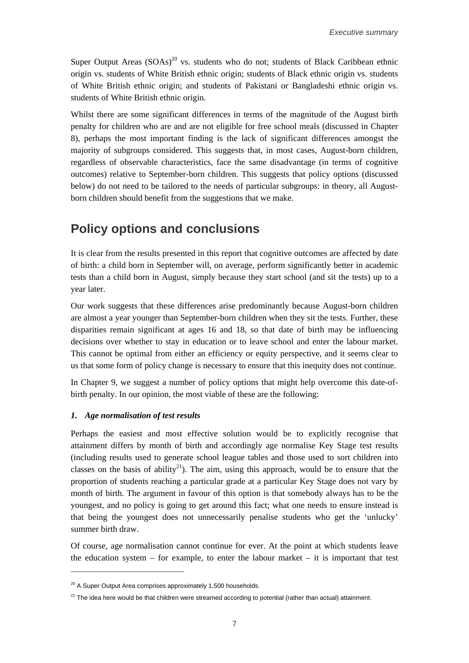Super Output Areas  $(SOAs)^{20}$  vs. students who do not; students of Black Caribbean ethnic origin vs. students of White British ethnic origin; students of Black ethnic origin vs. students of White British ethnic origin; and students of Pakistani or Bangladeshi ethnic origin vs. students of White British ethnic origin.

Whilst there are some significant differences in terms of the magnitude of the August birth penalty for children who are and are not eligible for free school meals (discussed in Chapter 8), perhaps the most important finding is the lack of significant differences amongst the majority of subgroups considered. This suggests that, in most cases, August-born children, regardless of observable characteristics, face the same disadvantage (in terms of cognitive outcomes) relative to September-born children. This suggests that policy options (discussed below) do not need to be tailored to the needs of particular subgroups: in theory, all Augustborn children should benefit from the suggestions that we make.

## **Policy options and conclusions**

It is clear from the results presented in this report that cognitive outcomes are affected by date of birth: a child born in September will, on average, perform significantly better in academic tests than a child born in August, simply because they start school (and sit the tests) up to a year later.

Our work suggests that these differences arise predominantly because August-born children are almost a year younger than September-born children when they sit the tests. Further, these disparities remain significant at ages 16 and 18, so that date of birth may be influencing decisions over whether to stay in education or to leave school and enter the labour market. This cannot be optimal from either an efficiency or equity perspective, and it seems clear to us that some form of policy change is necessary to ensure that this inequity does not continue.

In Chapter 9, we suggest a number of policy options that might help overcome this date-ofbirth penalty. In our opinion, the most viable of these are the following:

#### *1. Age normalisation of test results*

 $\overline{a}$ 

Perhaps the easiest and most effective solution would be to explicitly recognise that attainment differs by month of birth and accordingly age normalise Key Stage test results (including results used to generate school league tables and those used to sort children into classes on the basis of ability<sup>21</sup>). The aim, using this approach, would be to ensure that the proportion of students reaching a particular grade at a particular Key Stage does not vary by month of birth. The argument in favour of this option is that somebody always has to be the youngest, and no policy is going to get around this fact; what one needs to ensure instead is that being the youngest does not unnecessarily penalise students who get the 'unlucky' summer birth draw.

Of course, age normalisation cannot continue for ever. At the point at which students leave the education system – for example, to enter the labour market – it is important that test

 $20$  A Super Output Area comprises approximately 1,500 households.

 $21$  The idea here would be that children were streamed according to potential (rather than actual) attainment.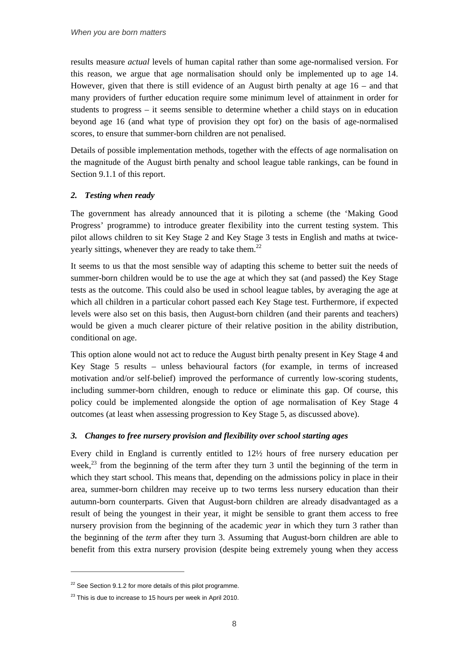results measure *actual* levels of human capital rather than some age-normalised version. For this reason, we argue that age normalisation should only be implemented up to age 14. However, given that there is still evidence of an August birth penalty at age  $16 -$  and that many providers of further education require some minimum level of attainment in order for students to progress – it seems sensible to determine whether a child stays on in education beyond age 16 (and what type of provision they opt for) on the basis of age-normalised scores, to ensure that summer-born children are not penalised.

Details of possible implementation methods, together with the effects of age normalisation on the magnitude of the August birth penalty and school league table rankings, can be found in Section 9.1.1 of this report.

#### *2. Testing when ready*

The government has already announced that it is piloting a scheme (the 'Making Good Progress' programme) to introduce greater flexibility into the current testing system. This pilot allows children to sit Key Stage 2 and Key Stage 3 tests in English and maths at twiceyearly sittings, whenever they are ready to take them.<sup>22</sup>

It seems to us that the most sensible way of adapting this scheme to better suit the needs of summer-born children would be to use the age at which they sat (and passed) the Key Stage tests as the outcome. This could also be used in school league tables, by averaging the age at which all children in a particular cohort passed each Key Stage test. Furthermore, if expected levels were also set on this basis, then August-born children (and their parents and teachers) would be given a much clearer picture of their relative position in the ability distribution, conditional on age.

This option alone would not act to reduce the August birth penalty present in Key Stage 4 and Key Stage 5 results – unless behavioural factors (for example, in terms of increased motivation and/or self-belief) improved the performance of currently low-scoring students, including summer-born children, enough to reduce or eliminate this gap. Of course, this policy could be implemented alongside the option of age normalisation of Key Stage 4 outcomes (at least when assessing progression to Key Stage 5, as discussed above).

#### *3. Changes to free nursery provision and flexibility over school starting ages*

Every child in England is currently entitled to 12½ hours of free nursery education per week,<sup>23</sup> from the beginning of the term after they turn 3 until the beginning of the term in which they start school. This means that, depending on the admissions policy in place in their area, summer-born children may receive up to two terms less nursery education than their autumn-born counterparts. Given that August-born children are already disadvantaged as a result of being the youngest in their year, it might be sensible to grant them access to free nursery provision from the beginning of the academic *year* in which they turn 3 rather than the beginning of the *term* after they turn 3. Assuming that August-born children are able to benefit from this extra nursery provision (despite being extremely young when they access

 $22$  See Section 9.1.2 for more details of this pilot programme.

 $23$  This is due to increase to 15 hours per week in April 2010.